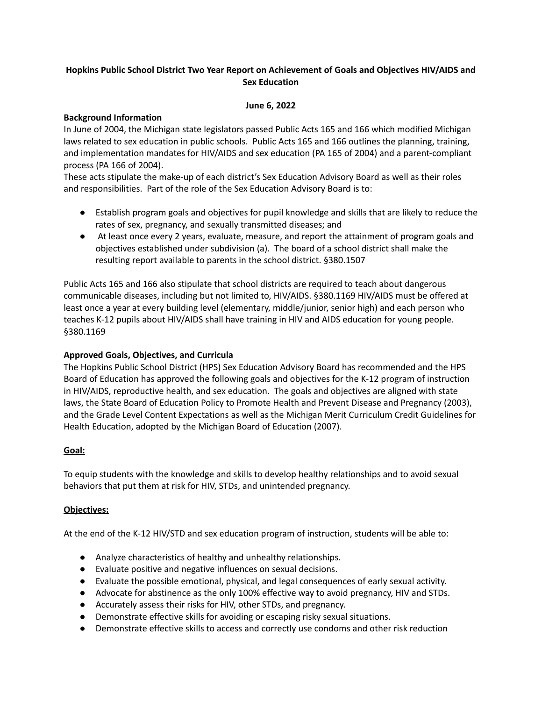# **Hopkins Public School District Two Year Report on Achievement of Goals and Objectives HIV/AIDS and Sex Education**

### **June 6, 2022**

## **Background Information**

In June of 2004, the Michigan state legislators passed Public Acts 165 and 166 which modified Michigan laws related to sex education in public schools. Public Acts 165 and 166 outlines the planning, training, and implementation mandates for HIV/AIDS and sex education (PA 165 of 2004) and a parent-compliant process (PA 166 of 2004).

These acts stipulate the make-up of each district's Sex Education Advisory Board as well as their roles and responsibilities. Part of the role of the Sex Education Advisory Board is to:

- Establish program goals and objectives for pupil knowledge and skills that are likely to reduce the rates of sex, pregnancy, and sexually transmitted diseases; and
- At least once every 2 years, evaluate, measure, and report the attainment of program goals and objectives established under subdivision (a). The board of a school district shall make the resulting report available to parents in the school district. §380.1507

Public Acts 165 and 166 also stipulate that school districts are required to teach about dangerous communicable diseases, including but not limited to, HIV/AIDS. §380.1169 HIV/AIDS must be offered at least once a year at every building level (elementary, middle/junior, senior high) and each person who teaches K-12 pupils about HIV/AIDS shall have training in HIV and AIDS education for young people. §380.1169

# **Approved Goals, Objectives, and Curricula**

The Hopkins Public School District (HPS) Sex Education Advisory Board has recommended and the HPS Board of Education has approved the following goals and objectives for the K-12 program of instruction in HIV/AIDS, reproductive health, and sex education. The goals and objectives are aligned with state laws, the State Board of Education Policy to Promote Health and Prevent Disease and Pregnancy (2003), and the Grade Level Content Expectations as well as the Michigan Merit Curriculum Credit Guidelines for Health Education, adopted by the Michigan Board of Education (2007).

### **Goal:**

To equip students with the knowledge and skills to develop healthy relationships and to avoid sexual behaviors that put them at risk for HIV, STDs, and unintended pregnancy.

### **Objectives:**

At the end of the K-12 HIV/STD and sex education program of instruction, students will be able to:

- Analyze characteristics of healthy and unhealthy relationships.
- Evaluate positive and negative influences on sexual decisions.
- Evaluate the possible emotional, physical, and legal consequences of early sexual activity.
- Advocate for abstinence as the only 100% effective way to avoid pregnancy, HIV and STDs.
- Accurately assess their risks for HIV, other STDs, and pregnancy.
- Demonstrate effective skills for avoiding or escaping risky sexual situations.
- Demonstrate effective skills to access and correctly use condoms and other risk reduction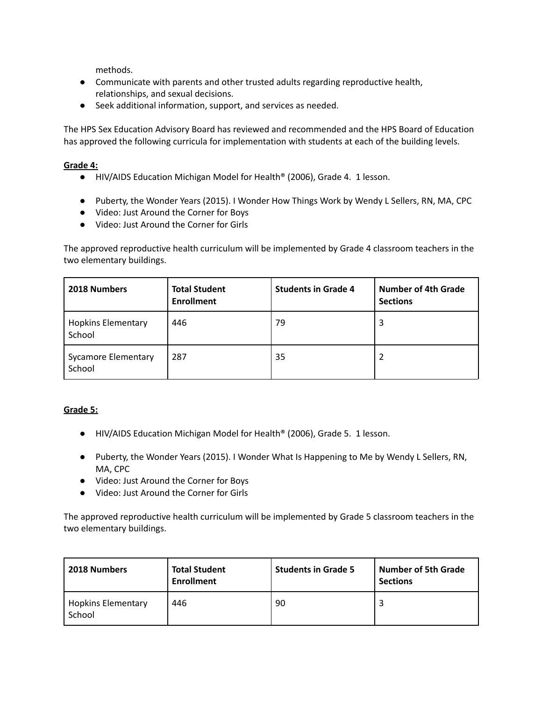methods.

- Communicate with parents and other trusted adults regarding reproductive health, relationships, and sexual decisions.
- Seek additional information, support, and services as needed.

The HPS Sex Education Advisory Board has reviewed and recommended and the HPS Board of Education has approved the following curricula for implementation with students at each of the building levels.

# **Grade 4:**

- HIV/AIDS Education Michigan Model for Health<sup>®</sup> (2006), Grade 4. 1 lesson.
- Puberty, the Wonder Years (2015). I Wonder How Things Work by Wendy L Sellers, RN, MA, CPC
- Video: Just Around the Corner for Boys
- Video: Just Around the Corner for Girls

The approved reproductive health curriculum will be implemented by Grade 4 classroom teachers in the two elementary buildings.

| 2018 Numbers                         | <b>Total Student</b><br><b>Enrollment</b> | <b>Students in Grade 4</b> | <b>Number of 4th Grade</b><br><b>Sections</b> |  |
|--------------------------------------|-------------------------------------------|----------------------------|-----------------------------------------------|--|
| <b>Hopkins Elementary</b><br>School  | 446                                       | 79                         | 3                                             |  |
| <b>Sycamore Elementary</b><br>School | 287                                       | 35                         |                                               |  |

# **Grade 5:**

- HIV/AIDS Education Michigan Model for Health® (2006), Grade 5. 1 lesson.
- Puberty, the Wonder Years (2015). I Wonder What Is Happening to Me by Wendy L Sellers, RN, MA, CPC
- Video: Just Around the Corner for Boys
- Video: Just Around the Corner for Girls

The approved reproductive health curriculum will be implemented by Grade 5 classroom teachers in the two elementary buildings.

| <b>2018 Numbers</b>                 | <b>Total Student</b><br><b>Enrollment</b> | <b>Students in Grade 5</b> | <b>Number of 5th Grade</b><br><b>Sections</b> |  |
|-------------------------------------|-------------------------------------------|----------------------------|-----------------------------------------------|--|
| <b>Hopkins Elementary</b><br>School | 446                                       | 90                         |                                               |  |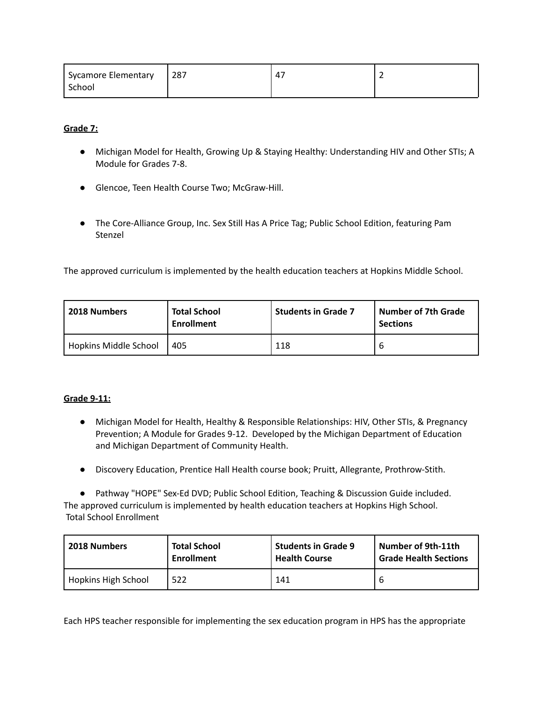| Sycamore Elementary | 287 | $\mathbf{4}^-$ |  |
|---------------------|-----|----------------|--|
| School              |     |                |  |

**Grade 7:**

- Michigan Model for Health, Growing Up & Staying Healthy: Understanding HIV and Other STIs; A Module for Grades 7-8.
- Glencoe, Teen Health Course Two; McGraw-Hill.
- The Core-Alliance Group, Inc. Sex Still Has A Price Tag; Public School Edition, featuring Pam Stenzel

The approved curriculum is implemented by the health education teachers at Hopkins Middle School.

| 2018 Numbers          | <b>Total School</b><br><b>Enrollment</b> | <b>Students in Grade 7</b> | <b>Number of 7th Grade</b><br><b>Sections</b> |  |
|-----------------------|------------------------------------------|----------------------------|-----------------------------------------------|--|
| Hopkins Middle School | 405                                      | 118                        |                                               |  |

### **Grade 9-11:**

- Michigan Model for Health, Healthy & Responsible Relationships: HIV, Other STIs, & Pregnancy Prevention; A Module for Grades 9-12. Developed by the Michigan Department of Education and Michigan Department of Community Health.
- Discovery Education, Prentice Hall Health course book; Pruitt, Allegrante, Prothrow-Stith.

● Pathway "HOPE" Sex-Ed DVD; Public School Edition, Teaching & Discussion Guide included. The approved curriculum is implemented by health education teachers at Hopkins High School. Total School Enrollment

| 2018 Numbers               | <b>Total School</b> | <b>Students in Grade 9</b> | Number of 9th-11th           |
|----------------------------|---------------------|----------------------------|------------------------------|
|                            | <b>Enrollment</b>   | <b>Health Course</b>       | <b>Grade Health Sections</b> |
| <b>Hopkins High School</b> | 522                 | 141                        |                              |

Each HPS teacher responsible for implementing the sex education program in HPS has the appropriate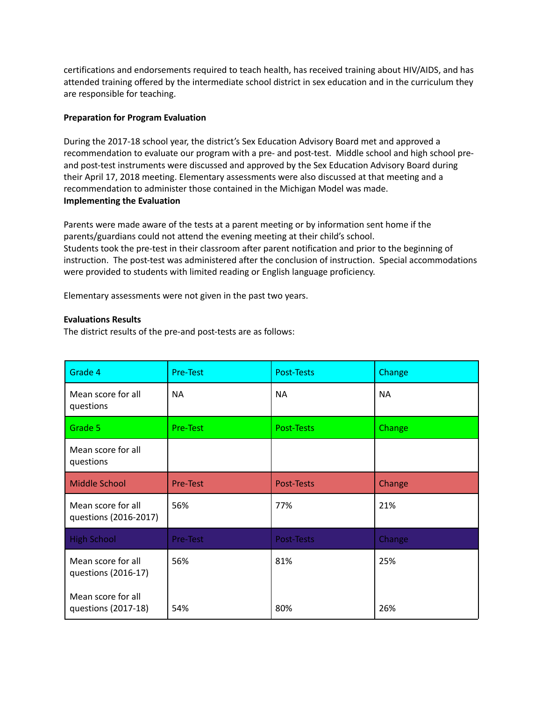certifications and endorsements required to teach health, has received training about HIV/AIDS, and has attended training offered by the intermediate school district in sex education and in the curriculum they are responsible for teaching.

### **Preparation for Program Evaluation**

During the 2017-18 school year, the district's Sex Education Advisory Board met and approved a recommendation to evaluate our program with a pre- and post-test. Middle school and high school preand post-test instruments were discussed and approved by the Sex Education Advisory Board during their April 17, 2018 meeting. Elementary assessments were also discussed at that meeting and a recommendation to administer those contained in the Michigan Model was made. **Implementing the Evaluation**

Parents were made aware of the tests at a parent meeting or by information sent home if the parents/guardians could not attend the evening meeting at their child's school. Students took the pre-test in their classroom after parent notification and prior to the beginning of instruction. The post-test was administered after the conclusion of instruction. Special accommodations were provided to students with limited reading or English language proficiency.

Elementary assessments were not given in the past two years.

## **Evaluations Results**

The district results of the pre-and post-tests are as follows:

| Grade 4                                     | Pre-Test  | <b>Post-Tests</b> | Change    |  |
|---------------------------------------------|-----------|-------------------|-----------|--|
| Mean score for all<br>questions             | <b>NA</b> | <b>NA</b>         | <b>NA</b> |  |
| Grade 5                                     | Pre-Test  | Post-Tests        | Change    |  |
| Mean score for all<br>questions             |           |                   |           |  |
| <b>Middle School</b>                        | Pre-Test  | Post-Tests        | Change    |  |
| Mean score for all<br>questions (2016-2017) | 56%       | 77%               | 21%       |  |
| <b>High School</b>                          | Pre-Test  | Post-Tests        | Change    |  |
| Mean score for all<br>questions (2016-17)   | 56%       | 81%               | 25%       |  |
| Mean score for all<br>questions (2017-18)   | 54%       | 80%               | 26%       |  |